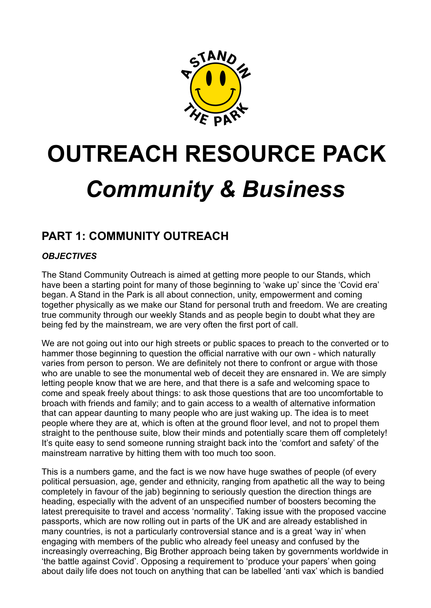

# **OUTREACH RESOURCE PACK** *Community & Business*

# **PART 1: COMMUNITY OUTREACH**

## *OBJECTIVES*

The Stand Community Outreach is aimed at getting more people to our Stands, which have been a starting point for many of those beginning to 'wake up' since the 'Covid era' began. A Stand in the Park is all about connection, unity, empowerment and coming together physically as we make our Stand for personal truth and freedom. We are creating true community through our weekly Stands and as people begin to doubt what they are being fed by the mainstream, we are very often the first port of call.

We are not going out into our high streets or public spaces to preach to the converted or to hammer those beginning to question the official narrative with our own - which naturally varies from person to person. We are definitely not there to confront or argue with those who are unable to see the monumental web of deceit they are ensnared in. We are simply letting people know that we are here, and that there is a safe and welcoming space to come and speak freely about things: to ask those questions that are too uncomfortable to broach with friends and family; and to gain access to a wealth of alternative information that can appear daunting to many people who are just waking up. The idea is to meet people where they are at, which is often at the ground floor level, and not to propel them straight to the penthouse suite, blow their minds and potentially scare them off completely! It's quite easy to send someone running straight back into the 'comfort and safety' of the mainstream narrative by hitting them with too much too soon.

This is a numbers game, and the fact is we now have huge swathes of people (of every political persuasion, age, gender and ethnicity, ranging from apathetic all the way to being completely in favour of the jab) beginning to seriously question the direction things are heading, especially with the advent of an unspecified number of boosters becoming the latest prerequisite to travel and access 'normality'. Taking issue with the proposed vaccine passports, which are now rolling out in parts of the UK and are already established in many countries, is not a particularly controversial stance and is a great 'way in' when engaging with members of the public who already feel uneasy and confused by the increasingly overreaching, Big Brother approach being taken by governments worldwide in 'the battle against Covid'. Opposing a requirement to 'produce your papers' when going about daily life does not touch on anything that can be labelled 'anti vax' which is bandied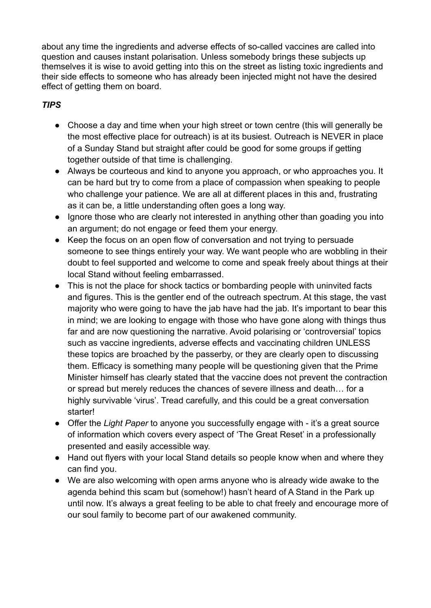about any time the ingredients and adverse effects of so-called vaccines are called into question and causes instant polarisation. Unless somebody brings these subjects up themselves it is wise to avoid getting into this on the street as listing toxic ingredients and their side effects to someone who has already been injected might not have the desired effect of getting them on board.

## *TIPS*

- Choose a day and time when your high street or town centre (this will generally be the most effective place for outreach) is at its busiest. Outreach is NEVER in place of a Sunday Stand but straight after could be good for some groups if getting together outside of that time is challenging.
- Always be courteous and kind to anyone you approach, or who approaches you. It can be hard but try to come from a place of compassion when speaking to people who challenge your patience. We are all at different places in this and, frustrating as it can be, a little understanding often goes a long way.
- Ignore those who are clearly not interested in anything other than goading you into an argument; do not engage or feed them your energy.
- Keep the focus on an open flow of conversation and not trying to persuade someone to see things entirely your way. We want people who are wobbling in their doubt to feel supported and welcome to come and speak freely about things at their local Stand without feeling embarrassed.
- This is not the place for shock tactics or bombarding people with uninvited facts and figures. This is the gentler end of the outreach spectrum. At this stage, the vast majority who were going to have the jab have had the jab. It's important to bear this in mind; we are looking to engage with those who have gone along with things thus far and are now questioning the narrative. Avoid polarising or 'controversial' topics such as vaccine ingredients, adverse effects and vaccinating children UNLESS these topics are broached by the passerby, or they are clearly open to discussing them. Efficacy is something many people will be questioning given that the Prime Minister himself has clearly stated that the vaccine does not prevent the contraction or spread but merely reduces the chances of severe illness and death… for a highly survivable 'virus'. Tread carefully, and this could be a great conversation starter!
- Offer the *Light Paper* to anyone you successfully engage with it's a great source of information which covers every aspect of 'The Great Reset' in a professionally presented and easily accessible way.
- Hand out flyers with your local Stand details so people know when and where they can find you.
- We are also welcoming with open arms anyone who is already wide awake to the agenda behind this scam but (somehow!) hasn't heard of A Stand in the Park up until now. It's always a great feeling to be able to chat freely and encourage more of our soul family to become part of our awakened community.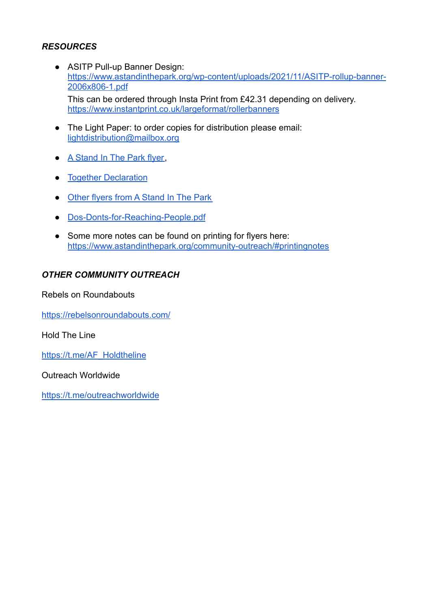#### *RESOURCES*

- ASITP Pull-up Banner Design: [https://www.astandinthepark.org/wp-content/uploads/2021/11/ASITP-rollup-banner-](https://www.astandinthepark.org/wp-content/uploads/2021/11/ASITP-rollup-banner-2006x806-1.pdf)[2006x806-1.pdf](https://www.astandinthepark.org/wp-content/uploads/2021/11/ASITP-rollup-banner-2006x806-1.pdf) This can be ordered through Insta Print from £42.31 depending on delivery. <https://www.instantprint.co.uk/largeformat/rollerbanners>
- The Light Paper: to order copies for distribution please email: [lightdistribution@mailbox.org](mailto:lightdistribution@mailbox.org)
- [A Stand In The Park flyer,](https://www.astandinthepark.org/wp-content/uploads/2021/11/SITP-Leaflet-V1.pdf)
- [Together Declaration](https://togetherdeclaration.org)
- [Other flyers from A Stand In The Park](https://www.astandinthepark.org/community-outreach/#downloads)
- [Dos-Donts-for-Reaching-People.pdf](https://www.astandinthepark.org/wp-content/uploads/2021/11/Dos-Donts-for-Reaching-People.pdf)
- Some more notes can be found on printing for flyers here: <https://www.astandinthepark.org/community-outreach/#printingnotes>

#### *OTHER COMMUNITY OUTREACH*

Rebels on Roundabouts

<https://rebelsonroundabouts.com/>

Hold The Line

[https://t.me/AF\\_Holdtheline](https://t.me/AF_Holdtheline)

Outreach Worldwide

<https://t.me/outreachworldwide>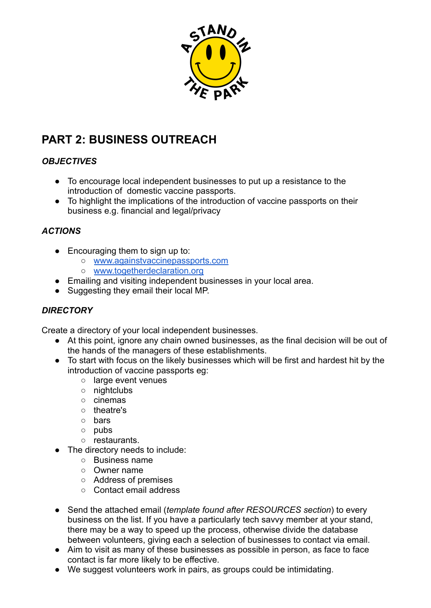

# **PART 2: BUSINESS OUTREACH**

#### *OBJECTIVES*

- To encourage local independent businesses to put up a resistance to the introduction of domestic vaccine passports.
- To highlight the implications of the introduction of vaccine passports on their business e.g. financial and legal/privacy

#### *ACTIONS*

- Encouraging them to sign up to:
	- [www.againstvaccinepassports.com](http://www.againstvaccinepassports.com)
	- [www.togetherdeclaration.org](http://www.togetherdeclaration.org)
- Emailing and visiting independent businesses in your local area.
- Suggesting they email their local MP.

#### *DIRECTORY*

Create a directory of your local independent businesses.

- At this point, ignore any chain owned businesses, as the final decision will be out of the hands of the managers of these establishments.
- To start with focus on the likely businesses which will be first and hardest hit by the introduction of vaccine passports eg:
	- large event venues
	- nightclubs
	- cinemas
	- theatre's
	- bars
	- pubs
	- restaurants.
	- The directory needs to include:
		- Business name
		- Owner name
		- Address of premises
		- Contact email address
- Send the attached email (*template found after RESOURCES section*) to every business on the list. If you have a particularly tech savvy member at your stand, there may be a way to speed up the process, otherwise divide the database between volunteers, giving each a selection of businesses to contact via email.
- Aim to visit as many of these businesses as possible in person, as face to face contact is far more likely to be effective.
- We suggest volunteers work in pairs, as groups could be intimidating.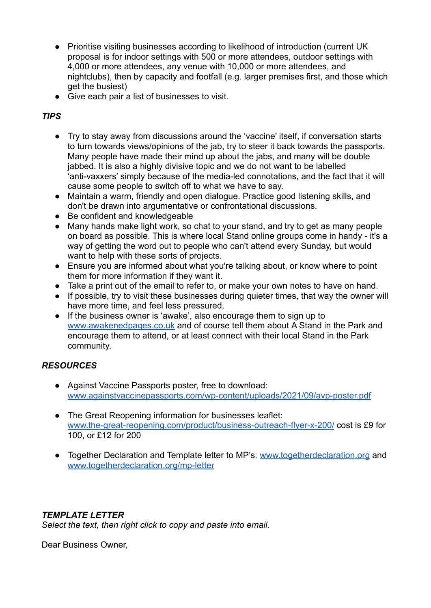- Prioritise visiting businesses according to likelihood of introduction (current UK proposal is for indoor settings with 500 or more attendees, outdoor settings with 4,000 or more attendees, any venue with 10,000 or more attendees, and nightclubs), then by capacity and footfall (e.g. larger premises first, and those which get the busiest)
- Give each pair a list of businesses to visit.

#### *TIPS*

- Try to stay away from discussions around the 'vaccine' itself, if conversation starts to turn towards views/opinions of the jab, try to steer it back towards the passports. Many people have made their mind up about the jabs, and many will be double jabbed. It is also a highly divisive topic and we do not want to be labelled 'anti-vaxxers' simply because of the media-led connotations, and the fact that it will cause some people to switch off to what we have to say.
- Maintain a warm, friendly and open dialogue. Practice good listening skills, and don't be drawn into argumentative or confrontational discussions.
- Be confident and knowledgeable
- Many hands make light work, so chat to your stand, and try to get as many people on board as possible. This is where local Stand online groups come in handy - it's a way of getting the word out to people who can't attend every Sunday, but would want to help with these sorts of projects.
- Ensure you are informed about what you're talking about, or know where to point them for more information if they want it.
- Take a print out of the email to refer to, or make your own notes to have on hand.
- If possible, try to visit these businesses during quieter times, that way the owner will have more time, and feel less pressured.
- If the business owner is 'awake', also encourage them to sign up to [www.awakenedpages.co.uk](http://www.awakenedpages.co.uk) and of course tell them about A Stand in the Park and encourage them to attend, or at least connect with their local Stand in the Park community.

## *RESOURCES*

- Against Vaccine Passports poster, free to download: [www.againstvaccinepassports.com/wp-content/uploads/2021/09/avp-poster.pdf](http://www.againstvaccinepassports.com/wp-content/uploads/2021/09/avp-poster.pdf)
- The Great Reopening information for businesses leaflet: [www.the-great-reopening.com/product/business-outreach-flyer-x-200/](http://www.the-great-reopening.com/product/business-outreach-flyer-x-200/) cost is £9 for 100, or £12 for 200
- Together Declaration and Template letter to MP's: [www.togetherdeclaration.org](http://www.togetherdeclaration.org) and [www.togetherdeclaration.org/mp-letter](http://www.togetherdeclaration.org/mp-letter)

## *TEMPLATE LETTER*

*Select the text, then right click to copy and paste into email.*

Dear Business Owner,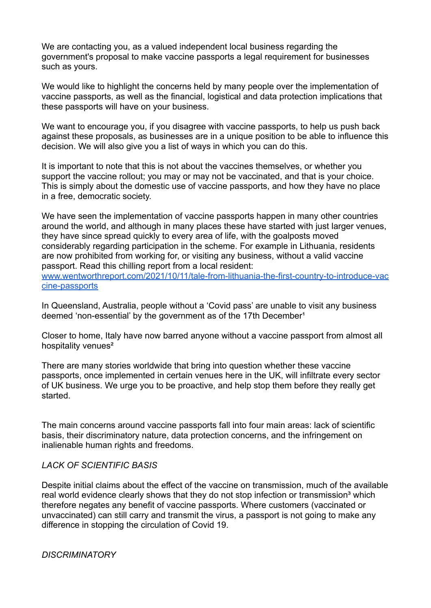We are contacting you, as a valued independent local business regarding the government's proposal to make vaccine passports a legal requirement for businesses such as yours.

We would like to highlight the concerns held by many people over the implementation of vaccine passports, as well as the financial, logistical and data protection implications that these passports will have on your business.

We want to encourage you, if you disagree with vaccine passports, to help us push back against these proposals, as businesses are in a unique position to be able to influence this decision. We will also give you a list of ways in which you can do this.

It is important to note that this is not about the vaccines themselves, or whether you support the vaccine rollout; you may or may not be vaccinated, and that is your choice. This is simply about the domestic use of vaccine passports, and how they have no place in a free, democratic society.

We have seen the implementation of vaccine passports happen in many other countries around the world, and although in many places these have started with just larger venues, they have since spread quickly to every area of life, with the goalposts moved considerably regarding participation in the scheme. For example in Lithuania, residents are now prohibited from working for, or visiting any business, without a valid vaccine passport. Read this chilling report from a local resident: [www.wentworthreport.com/2021/10/11/tale-from-lithuania-the-first-country-to-introduce-vac](http://www.wentworthreport.com/2021/10/11/tale-from-lithuania-the-first-country-to-introduce-vaccine-passports) [cine-passports](http://www.wentworthreport.com/2021/10/11/tale-from-lithuania-the-first-country-to-introduce-vaccine-passports)

In Queensland, Australia, people without a 'Covid pass' are unable to visit any business deemed 'non-essential' by the government as of the 17th December<sup>1</sup>

Closer to home, Italy have now barred anyone without a vaccine passport from almost all hospitality venues²

There are many stories worldwide that bring into question whether these vaccine passports, once implemented in certain venues here in the UK, will infiltrate every sector of UK business. We urge you to be proactive, and help stop them before they really get started.

The main concerns around vaccine passports fall into four main areas: lack of scientific basis, their discriminatory nature, data protection concerns, and the infringement on inalienable human rights and freedoms.

#### *LACK OF SCIENTIFIC BASIS*

Despite initial claims about the effect of the vaccine on transmission, much of the available real world evidence clearly shows that they do not stop infection or transmission<sup>3</sup> which therefore negates any benefit of vaccine passports. Where customers (vaccinated or unvaccinated) can still carry and transmit the virus, a passport is not going to make any difference in stopping the circulation of Covid 19.

*DISCRIMINATORY*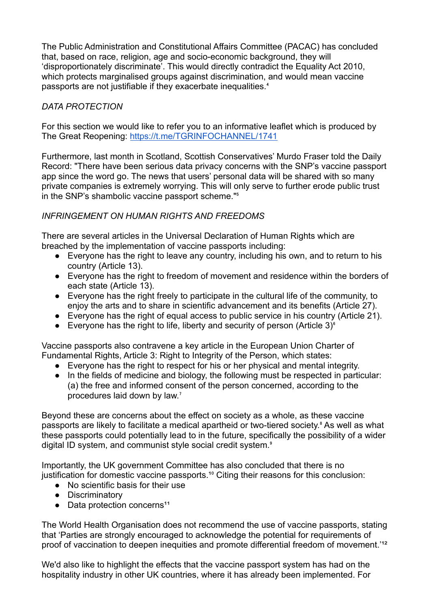The Public Administration and Constitutional Affairs Committee (PACAC) has concluded that, based on race, religion, age and socio-economic background, they will 'disproportionately discriminate'. This would directly contradict the Equality Act 2010, which protects marginalised groups against discrimination, and would mean vaccine passports are not justifiable if they exacerbate inequalities.<sup>4</sup>

#### *DATA PROTECTION*

For this section we would like to refer you to an informative leaflet which is produced by The Great Reopening: <https://t.me/TGRINFOCHANNEL/1741>

Furthermore, last month in Scotland, Scottish Conservatives' Murdo Fraser told the Daily Record: "There have been serious data privacy concerns with the SNP's vaccine passport app since the word go. The news that users' personal data will be shared with so many private companies is extremely worrying. This will only serve to further erode public trust in the SNP's shambolic vaccine passport scheme."<sup>5</sup>

#### *INFRINGEMENT ON HUMAN RIGHTS AND FREEDOMS*

There are several articles in the Universal Declaration of Human Rights which are breached by the implementation of vaccine passports including:

- Everyone has the right to leave any country, including his own, and to return to his country (Article 13).
- Everyone has the right to freedom of movement and residence within the borders of each state (Article 13).
- Everyone has the right freely to participate in the cultural life of the community, to enjoy the arts and to share in scientific advancement and its benefits (Article 27).
- Everyone has the right of equal access to public service in his country (Article 21).
- Everyone has the right to life, liberty and security of person (Article 3) $^{\circ}$

Vaccine passports also contravene a key article in the European Union Charter of Fundamental Rights, Article 3: Right to Integrity of the Person, which states:

- Everyone has the right to respect for his or her physical and mental integrity.
- In the fields of medicine and biology, the following must be respected in particular: (a) the free and informed consent of the person concerned, according to the procedures laid down by law.<sup>7</sup>

Beyond these are concerns about the effect on society as a whole, as these vaccine passports are likely to facilitate a medical apartheid or two-tiered society.<sup>8</sup> As well as what these passports could potentially lead to in the future, specifically the possibility of a wider digital ID system, and communist style social credit system.<sup>®</sup>

Importantly, the UK government Committee has also concluded that there is no justification for domestic vaccine passports.<sup>10</sup> Citing their reasons for this conclusion:

- No scientific basis for their use
- Discriminatory
- $\bullet$  Data protection concerns<sup>11</sup>

The World Health Organisation does not recommend the use of vaccine passports, stating that 'Parties are strongly encouraged to acknowledge the potential for requirements of proof of vaccination to deepen inequities and promote differential freedom of movement.<sup>112</sup>

We'd also like to highlight the effects that the vaccine passport system has had on the hospitality industry in other UK countries, where it has already been implemented. For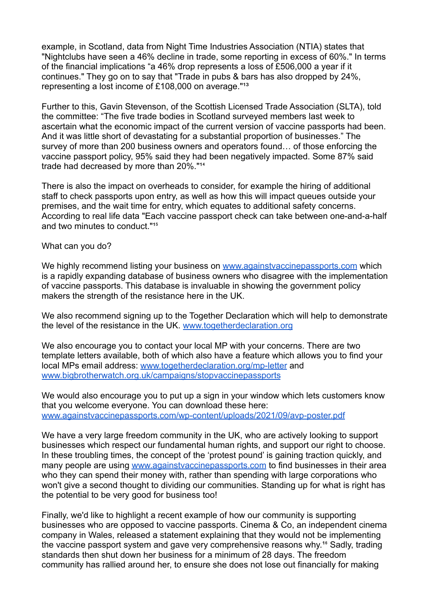example, in Scotland, data from Night Time Industries Association (NTIA) states that "Nightclubs have seen a 46% decline in trade, some reporting in excess of 60%." In terms of the financial implications "a 46% drop represents a loss of £506,000 a year if it continues." They go on to say that "Trade in pubs & bars has also dropped by 24%, representing a lost income of  $£108,000$  on average."<sup>13</sup>

Further to this, Gavin Stevenson, of the Scottish Licensed Trade Association (SLTA), told the committee: "The five trade bodies in Scotland surveyed members last week to ascertain what the economic impact of the current version of vaccine passports had been. And it was little short of devastating for a substantial proportion of businesses." The survey of more than 200 business owners and operators found… of those enforcing the vaccine passport policy, 95% said they had been negatively impacted. Some 87% said trade had decreased by more than 20%."<sup>14</sup>

There is also the impact on overheads to consider, for example the hiring of additional staff to check passports upon entry, as well as how this will impact queues outside your premises, and the wait time for entry, which equates to additional safety concerns. According to real life data "Each vaccine passport check can take between one-and-a-half and two minutes to conduct."<sup>15</sup>

What can you do?

We highly recommend listing your business on [www.againstvaccinepassports.com](http://www.againstvaccinepassports.com) which is a rapidly expanding database of business owners who disagree with the implementation of vaccine passports. This database is invaluable in showing the government policy makers the strength of the resistance here in the UK.

We also recommend signing up to the Together Declaration which will help to demonstrate the level of the resistance in the UK. [www.togetherdeclaration.org](http://www.togetherdeclaration.org)

We also encourage you to contact your local MP with your concerns. There are two template letters available, both of which also have a feature which allows you to find your local MPs email address: [www.togetherdeclaration.org/mp-letter](http://www.togetherdeclaration.org/mp-letter) and [www.bigbrotherwatch.org.uk/campaigns/stopvaccinepassports](http://www.bigbrotherwatch.org.uk/campaigns/stopvaccinepassports)

We would also encourage you to put up a sign in your window which lets customers know that you welcome everyone. You can download these here: [www.againstvaccinepassports.com/wp-content/uploads/2021/09/avp-poster.pdf](http://www.againstvaccinepassports.com/wp-content/uploads/2021/09/avp-poster.pdf)

We have a very large freedom community in the UK, who are actively looking to support businesses which respect our fundamental human rights, and support our right to choose. In these troubling times, the concept of the 'protest pound' is gaining traction quickly, and many people are using [www.againstvaccinepassports.com](http://www.againstvaccinepassports.com) to find businesses in their area who they can spend their money with, rather than spending with large corporations who won't give a second thought to dividing our communities. Standing up for what is right has the potential to be very good for business too!

Finally, we'd like to highlight a recent example of how our community is supporting businesses who are opposed to vaccine passports. Cinema & Co, an independent cinema company in Wales, released a statement explaining that they would not be implementing the vaccine passport system and gave very comprehensive reasons why.<sup>16</sup> Sadly, trading standards then shut down her business for a minimum of 28 days. The freedom community has rallied around her, to ensure she does not lose out financially for making